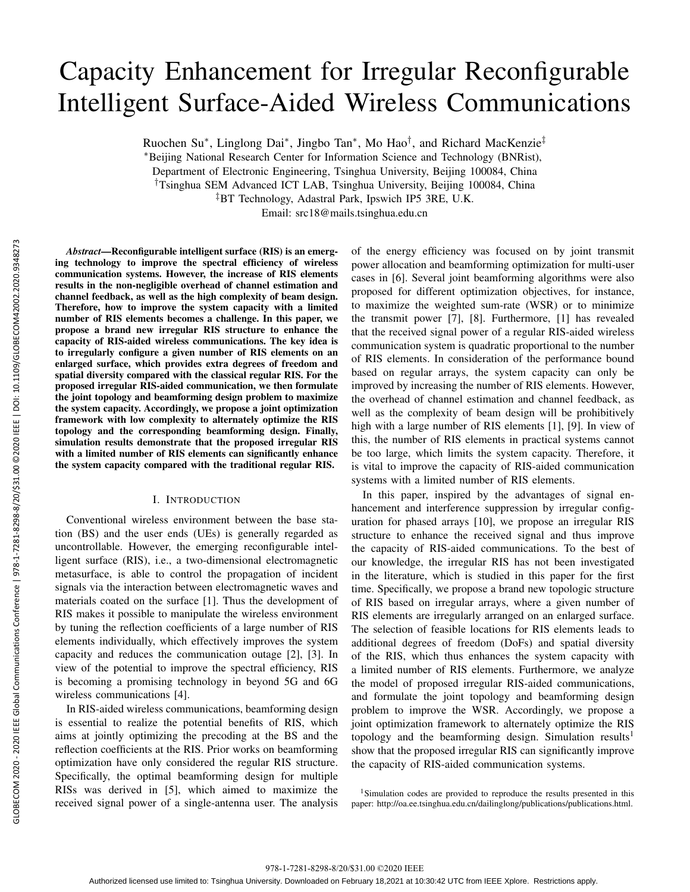# Capacity Enhancement for Irregular Reconfigurable Intelligent Surface-Aided Wireless Communications

Ruochen Su*∗* , Linglong Dai*∗* , Jingbo Tan*∗* , Mo Hao*†* , and Richard MacKenzie*‡*

*∗*Beijing National Research Center for Information Science and Technology (BNRist),

Department of Electronic Engineering, Tsinghua University, Beijing 100084, China

*†*Tsinghua SEM Advanced ICT LAB, Tsinghua University, Beijing 100084, China

*‡*BT Technology, Adastral Park, Ipswich IP5 3RE, U.K.

Email: src18@mails.tsinghua.edu.cn

*Abstract*—Reconfigurable intelligent surface (RIS) is an emerging technology to improve the spectral efficiency of wireless communication systems. However, the increase of RIS elements results in the non-negligible overhead of channel estimation and channel feedback, as well as the high complexity of beam design. Therefore, how to improve the system capacity with a limited number of RIS elements becomes a challenge. In this paper, we propose a brand new irregular RIS structure to enhance the capacity of RIS-aided wireless communications. The key idea is to irregularly configure a given number of RIS elements on an enlarged surface, which provides extra degrees of freedom and spatial diversity compared with the classical regular RIS. For the proposed irregular RIS-aided communication, we then formulate the joint topology and beamforming design problem to maximize the system capacity. Accordingly, we propose a joint optimization framework with low complexity to alternately optimize the RIS topology and the corresponding beamforming design. Finally, simulation results demonstrate that the proposed irregular RIS with a limited number of RIS elements can significantly enhance the system capacity compared with the traditional regular RIS.

## I. INTRODUCTION

Conventional wireless environment between the base station (BS) and the user ends (UEs) is generally regarded as uncontrollable. However, the emerging reconfigurable intelligent surface (RIS), i.e., a two-dimensional electromagnetic metasurface, is able to control the propagation of incident signals via the interaction between electromagnetic waves and materials coated on the surface [1]. Thus the development of RIS makes it possible to manipulate the wireless environment by tuning the reflection coefficients of a large number of RIS elements individually, which effectively improves the system capacity and reduces the communication outage [2], [3]. In view of the potential to improve the spectral efficiency, RIS is becoming a promising technology in beyond 5G and 6G wireless communications [4].

In RIS-aided wireless communications, beamforming design is essential to realize the potential benefits of RIS, which aims at jointly optimizing the precoding at the BS and the reflection coefficients at the RIS. Prior works on beamforming optimization have only considered the regular RIS structure. Specifically, the optimal beamforming design for multiple RISs was derived in [5], which aimed to maximize the received signal power of a single-antenna user. The analysis

of the energy efficiency was focused on by joint transmit power allocation and beamforming optimization for multi-user cases in [6]. Several joint beamforming algorithms were also proposed for different optimization objectives, for instance, to maximize the weighted sum-rate (WSR) or to minimize the transmit power [7], [8]. Furthermore, [1] has revealed that the received signal power of a regular RIS-aided wireless communication system is quadratic proportional to the number of RIS elements. In consideration of the performance bound based on regular arrays, the system capacity can only be improved by increasing the number of RIS elements. However, the overhead of channel estimation and channel feedback, as well as the complexity of beam design will be prohibitively high with a large number of RIS elements [1], [9]. In view of this, the number of RIS elements in practical systems cannot be too large, which limits the system capacity. Therefore, it is vital to improve the capacity of RIS-aided communication systems with a limited number of RIS elements.

In this paper, inspired by the advantages of signal enhancement and interference suppression by irregular configuration for phased arrays [10], we propose an irregular RIS structure to enhance the received signal and thus improve the capacity of RIS-aided communications. To the best of our knowledge, the irregular RIS has not been investigated in the literature, which is studied in this paper for the first time. Specifically, we propose a brand new topologic structure of RIS based on irregular arrays, where a given number of RIS elements are irregularly arranged on an enlarged surface. The selection of feasible locations for RIS elements leads to additional degrees of freedom (DoFs) and spatial diversity of the RIS, which thus enhances the system capacity with a limited number of RIS elements. Furthermore, we analyze the model of proposed irregular RIS-aided communications, and formulate the joint topology and beamforming design problem to improve the WSR. Accordingly, we propose a joint optimization framework to alternately optimize the RIS topology and the beamforming design. Simulation results<sup>1</sup> show that the proposed irregular RIS can significantly improve the capacity of RIS-aided communication systems.

<sup>1</sup>Simulation codes are provided to reproduce the results presented in this paper: http://oa.ee.tsinghua.edu.cn/dailinglong/publications/publications.html.

978-1-7281-8298-8/20/\$31.00 ©2020 IEEE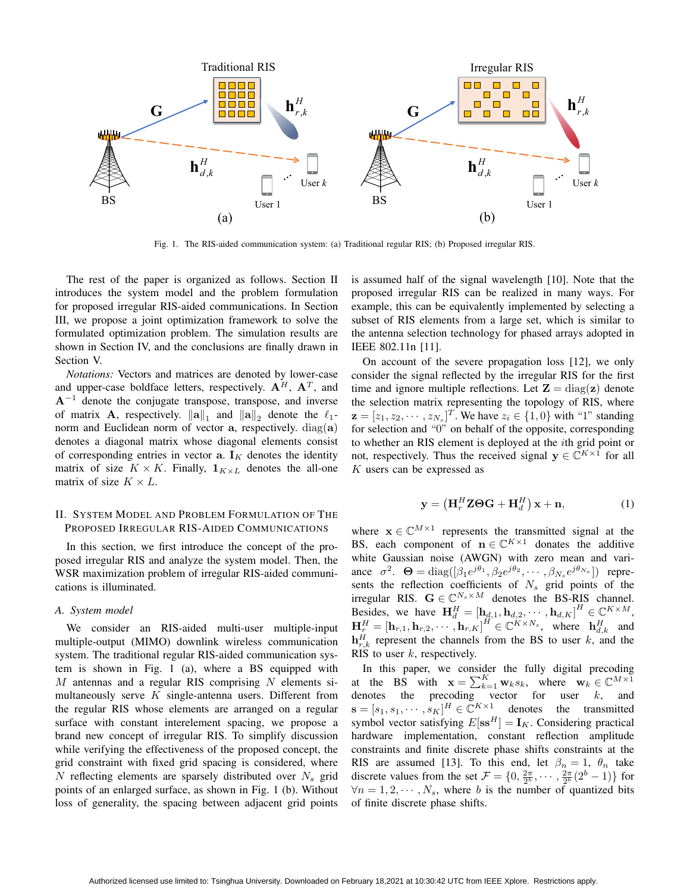

Fig. 1. The RIS-aided communication system: (a) Traditional regular RIS; (b) Proposed irregular RIS.

The rest of the paper is organized as follows. Section II introduces the system model and the problem formulation for proposed irregular RIS-aided communications. In Section III, we propose a joint optimization framework to solve the formulated optimization problem. The simulation results are shown in Section IV, and the conclusions are finally drawn in Section V.

*Notations:* Vectors and matrices are denoted by lower-case and upper-case boldface letters, respectively. **A***<sup>H</sup>*, **A***<sup>T</sup>* , and **A***−*<sup>1</sup> denote the conjugate transpose, transpose, and inverse of matrix **A**, respectively.  $||\mathbf{a}||_1$  and  $||\mathbf{a}||_2$  denote the  $\ell_1$ norm and Euclidean norm of vector **a**, respectively. diag(**a**) denotes a diagonal matrix whose diagonal elements consist of corresponding entries in vector  $a$ .  $I_K$  denotes the identity matrix of size  $K \times K$ . Finally,  $\mathbf{1}_{K \times L}$  denotes the all-one matrix of size  $K \times L$ .

## II. SYSTEM MODEL AND PROBLEM FORMULATION OF THE PROPOSED IRREGULAR RIS-AIDED COMMUNICATIONS

In this section, we first introduce the concept of the proposed irregular RIS and analyze the system model. Then, the WSR maximization problem of irregular RIS-aided communications is illuminated.

#### *A. System model*

We consider an RIS-aided multi-user multiple-input multiple-output (MIMO) downlink wireless communication system. The traditional regular RIS-aided communication system is shown in Fig. 1 (a), where a BS equipped with *M* antennas and a regular RIS comprising *N* elements simultaneously serve *K* single-antenna users. Different from the regular RIS whose elements are arranged on a regular surface with constant interelement spacing, we propose a brand new concept of irregular RIS. To simplify discussion while verifying the effectiveness of the proposed concept, the grid constraint with fixed grid spacing is considered, where *N* reflecting elements are sparsely distributed over *N<sup>s</sup>* grid points of an enlarged surface, as shown in Fig. 1 (b). Without loss of generality, the spacing between adjacent grid points

is assumed half of the signal wavelength [10]. Note that the proposed irregular RIS can be realized in many ways. For example, this can be equivalently implemented by selecting a subset of RIS elements from a large set, which is similar to the antenna selection technology for phased arrays adopted in IEEE 802.11n [11].

On account of the severe propagation loss [12], we only consider the signal reflected by the irregular RIS for the first time and ignore multiple reflections. Let  $\mathbf{Z} = \text{diag}(\mathbf{z})$  denote the selection matrix representing the topology of RIS, where  $\mathbf{z} = [z_1, z_2, \cdots, z_{N_s}]^T$ . We have  $z_i \in \{1, 0\}$  with "1" standing for selection and "0" on behalf of the opposite, corresponding to whether an RIS element is deployed at the *i*th grid point or not, respectively. Thus the received signal  $y \in \mathbb{C}^{K \times 1}$  for all *K* users can be expressed as

$$
\mathbf{y} = \left(\mathbf{H}_r^H \mathbf{Z} \boldsymbol{\Theta} \mathbf{G} + \mathbf{H}_d^H\right) \mathbf{x} + \mathbf{n},\tag{1}
$$

where  $\mathbf{x} \in \mathbb{C}^{M \times 1}$  represents the transmitted signal at the BS, each component of  $\mathbf{n} \in \mathbb{C}^{K \times 1}$  donates the additive white Gaussian noise (AWGN) with zero mean and variance  $\sigma^2$ .  $\Theta = \text{diag}([\beta_1 e^{j\theta_1}, \beta_2 e^{j\theta_2}, \cdots, \beta_{N_s} e^{j\theta_{N_s}}])$  represents the reflection coefficients of  $N_s$  grid points of the irregular RIS.  $G \in \mathbb{C}^{N_s \times M}$  denotes the BS-RIS channel. Besides, we have  $\mathbf{H}_{d}^{H} = [\mathbf{h}_{d,1}, \mathbf{h}_{d,2}, \cdots, \mathbf{h}_{d,K}]^{H} \in \mathbb{C}^{K \times M}$ ,  $\mathbf{H}_r^H = [\mathbf{h}_{r,1}, \mathbf{h}_{r,2}, \cdots, \mathbf{h}_{r,K}]^H \in \mathbb{C}^{K \times N_s}$ , where  $\mathbf{h}_{d,k}^H$  and  $\mathbf{h}_{r,k}^H$  represent the channels from the BS to user *k*, and the RIS to user *k*, respectively.

In this paper, we consider the fully digital precoding at the BS with  $\mathbf{x} = \sum_{k=1}^{K} \mathbf{w}_k s_k$ , where  $\mathbf{w}_k \in \mathbb{C}^{M \times 1}$ denotes the precoding vector for user *k*, and  $\mathbf{s} = [s_1, s_1, \cdots, s_K]^H \in \mathbb{C}^{K \times 1}$  denotes the transmitted symbol vector satisfying  $E[\mathbf{s}\mathbf{s}^H] = \mathbf{I}_K$ . Considering practical hardware implementation, constant reflection amplitude constraints and finite discrete phase shifts constraints at the RIS are assumed [13]. To this end, let  $\beta_n = 1$ ,  $\theta_n$  take discrete values from the set  $\mathcal{F} = \{0, \frac{2\pi}{2^b}, \cdots, \frac{2\pi}{2^b} (2^b - 1)\}$  for  $\forall n = 1, 2, \cdots, N_s$ , where *b* is the number of quantized bits of finite discrete phase shifts.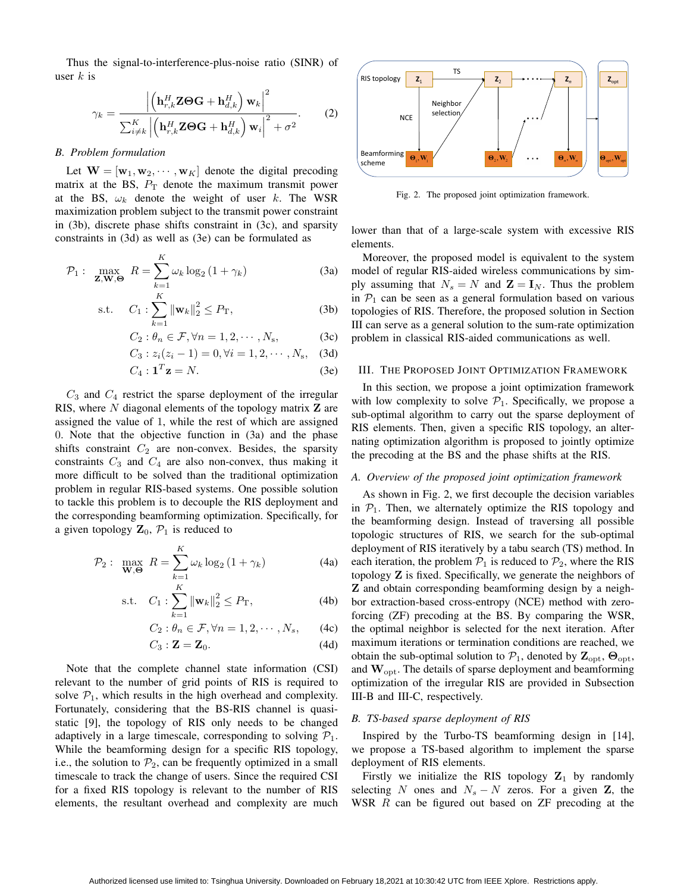Thus the signal-to-interference-plus-noise ratio (SINR) of user *k* is

$$
\gamma_k = \frac{\left| \left( \mathbf{h}_{r,k}^H \mathbf{Z} \boldsymbol{\Theta} \mathbf{G} + \mathbf{h}_{d,k}^H \right) \mathbf{w}_k \right|^2}{\sum_{i \neq k}^K \left| \left( \mathbf{h}_{r,k}^H \mathbf{Z} \boldsymbol{\Theta} \mathbf{G} + \mathbf{h}_{d,k}^H \right) \mathbf{w}_i \right|^2 + \sigma^2}.
$$
 (2)

#### *B. Problem formulation*

Let  $W = [\mathbf{w}_1, \mathbf{w}_2, \cdots, \mathbf{w}_K]$  denote the digital precoding matrix at the BS,  $P_T$  denote the maximum transmit power at the BS,  $\omega_k$  denote the weight of user *k*. The WSR maximization problem subject to the transmit power constraint in (3b), discrete phase shifts constraint in (3c), and sparsity constraints in (3d) as well as (3e) can be formulated as

$$
\mathcal{P}_1: \max_{\mathbf{Z}, \mathbf{W}, \Theta} R = \sum_{k=1}^{K} \omega_k \log_2 \left( 1 + \gamma_k \right) \tag{3a}
$$

s.t. 
$$
C_1: \sum_{k=1}^{K} ||\mathbf{w}_k||_2^2 \le P_\text{T},
$$
 (3b)

$$
C_2: \theta_n \in \mathcal{F}, \forall n = 1, 2, \cdots, N_s,
$$
 (3c)

$$
C_3: z_i(z_i - 1) = 0, \forall i = 1, 2, \cdots, N_s, \quad (3d)
$$

$$
C_4: \mathbf{1}^T \mathbf{z} = N. \tag{3e}
$$

*C*<sup>3</sup> and *C*<sup>4</sup> restrict the sparse deployment of the irregular RIS, where *N* diagonal elements of the topology matrix **Z** are assigned the value of 1, while the rest of which are assigned 0. Note that the objective function in (3a) and the phase shifts constraint  $C_2$  are non-convex. Besides, the sparsity constraints  $C_3$  and  $C_4$  are also non-convex, thus making it more difficult to be solved than the traditional optimization problem in regular RIS-based systems. One possible solution to tackle this problem is to decouple the RIS deployment and the corresponding beamforming optimization. Specifically, for a given topology  $\mathbf{Z}_0$ ,  $\mathcal{P}_1$  is reduced to

$$
\mathcal{P}_2: \max_{\mathbf{W}, \mathbf{\Theta}} R = \sum_{k=1}^{K} \omega_k \log_2 \left( 1 + \gamma_k \right) \tag{4a}
$$

s.t. 
$$
C_1: \sum_{k=1}^{K} ||\mathbf{w}_k||_2^2 \le P_\text{T},
$$
 (4b)

$$
C_2: \theta_n \in \mathcal{F}, \forall n = 1, 2, \cdots, N_s, \qquad (4c)
$$

$$
C_3: \mathbf{Z} = \mathbf{Z}_0. \tag{4d}
$$

Note that the complete channel state information (CSI) relevant to the number of grid points of RIS is required to solve  $P_1$ , which results in the high overhead and complexity. Fortunately, considering that the BS-RIS channel is quasistatic [9], the topology of RIS only needs to be changed adaptively in a large timescale, corresponding to solving  $P_1$ . While the beamforming design for a specific RIS topology, i.e., the solution to  $\mathcal{P}_2$ , can be frequently optimized in a small timescale to track the change of users. Since the required CSI for a fixed RIS topology is relevant to the number of RIS elements, the resultant overhead and complexity are much



Fig. 2. The proposed joint optimization framework.

lower than that of a large-scale system with excessive RIS elements.

Moreover, the proposed model is equivalent to the system model of regular RIS-aided wireless communications by simply assuming that  $N_s = N$  and  $\mathbf{Z} = \mathbf{I}_N$ . Thus the problem in  $P_1$  can be seen as a general formulation based on various topologies of RIS. Therefore, the proposed solution in Section III can serve as a general solution to the sum-rate optimization problem in classical RIS-aided communications as well.

#### III. THE PROPOSED JOINT OPTIMIZATION FRAMEWORK

In this section, we propose a joint optimization framework with low complexity to solve  $P_1$ . Specifically, we propose a sub-optimal algorithm to carry out the sparse deployment of RIS elements. Then, given a specific RIS topology, an alternating optimization algorithm is proposed to jointly optimize the precoding at the BS and the phase shifts at the RIS.

## *A. Overview of the proposed joint optimization framework*

As shown in Fig. 2, we first decouple the decision variables in  $P_1$ . Then, we alternately optimize the RIS topology and the beamforming design. Instead of traversing all possible topologic structures of RIS, we search for the sub-optimal deployment of RIS iteratively by a tabu search (TS) method. In each iteration, the problem  $P_1$  is reduced to  $P_2$ , where the RIS topology **Z** is fixed. Specifically, we generate the neighbors of **Z** and obtain corresponding beamforming design by a neighbor extraction-based cross-entropy (NCE) method with zeroforcing (ZF) precoding at the BS. By comparing the WSR, the optimal neighbor is selected for the next iteration. After maximum iterations or termination conditions are reached, we obtain the sub-optimal solution to  $\mathcal{P}_1$ , denoted by  $\mathbf{Z}_{\text{opt}}$ ,  $\Theta_{\text{opt}}$ , and **W**opt. The details of sparse deployment and beamforming optimization of the irregular RIS are provided in Subsection III-B and III-C, respectively.

#### *B. TS-based sparse deployment of RIS*

Inspired by the Turbo-TS beamforming design in [14], we propose a TS-based algorithm to implement the sparse deployment of RIS elements.

Firstly we initialize the RIS topology  $\mathbf{Z}_1$  by randomly selecting *N* ones and  $N_s - N$  zeros. For a given **Z**, the WSR *R* can be figured out based on ZF precoding at the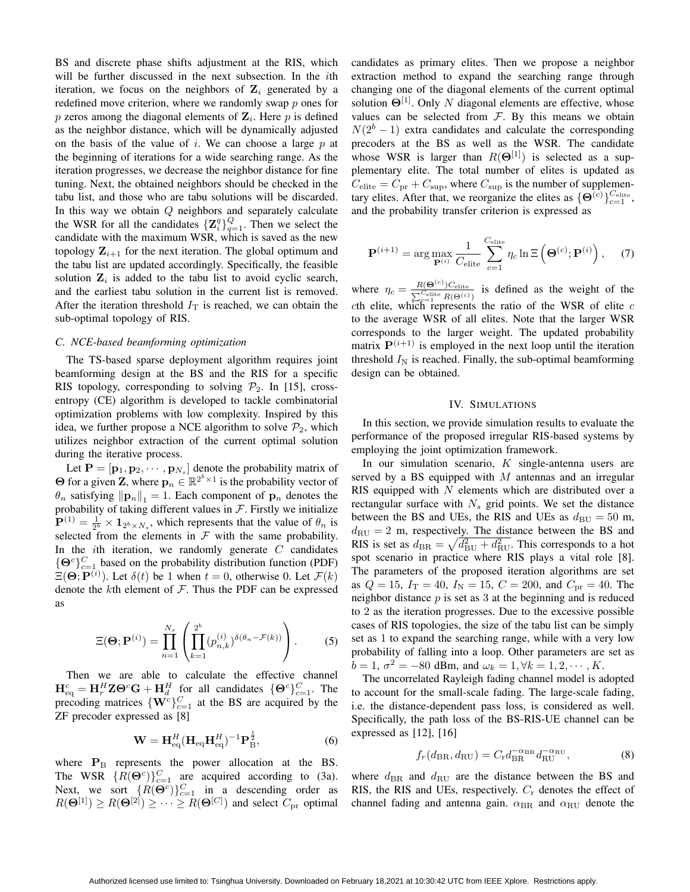BS and discrete phase shifts adjustment at the RIS, which will be further discussed in the next subsection. In the *i*th iteration, we focus on the neighbors of  $\mathbf{Z}_i$  generated by a redefined move criterion, where we randomly swap *p* ones for *p* zeros among the diagonal elements of **Z***<sup>i</sup>* . Here *p* is defined as the neighbor distance, which will be dynamically adjusted on the basis of the value of *i*. We can choose a large *p* at the beginning of iterations for a wide searching range. As the iteration progresses, we decrease the neighbor distance for fine tuning. Next, the obtained neighbors should be checked in the tabu list, and those who are tabu solutions will be discarded. In this way we obtain *Q* neighbors and separately calculate the WSR for all the candidates  $\{Z_i^q\}_{q=1}^Q$ . Then we select the candidate with the maximum WSR, which is saved as the new topology  $\mathbf{Z}_{i+1}$  for the next iteration. The global optimum and the tabu list are updated accordingly. Specifically, the feasible solution  $\mathbf{Z}_i$  is added to the tabu list to avoid cyclic search, and the earliest tabu solution in the current list is removed. After the iteration threshold  $I_T$  is reached, we can obtain the sub-optimal topology of RIS.

## *C. NCE-based beamforming optimization*

The TS-based sparse deployment algorithm requires joint beamforming design at the BS and the RIS for a specific RIS topology, corresponding to solving  $P_2$ . In [15], crossentropy (CE) algorithm is developed to tackle combinatorial optimization problems with low complexity. Inspired by this idea, we further propose a NCE algorithm to solve  $P_2$ , which utilizes neighbor extraction of the current optimal solution during the iterative process.

Let  $P = [\mathbf{p}_1, \mathbf{p}_2, \cdots, \mathbf{p}_{N_s}]$  denote the probability matrix of **Θ** for a given **Z**, where  $\mathbf{p}_n \in \mathbb{R}^{2^b \times 1}$  is the probability vector of  $\theta_n$  satisfying  $||\mathbf{p}_n||_1 = 1$ . Each component of  $\mathbf{p}_n$  denotes the probability of taking different values in  $F$ . Firstly we initialize  $\mathbf{P}^{(1)} = \frac{1}{2^b} \times \mathbf{1}_{2^b \times N_s}$ , which represents that the value of  $\theta_n$  is selected from the elements in  $F$  with the same probability. In the *i*th iteration, we randomly generate *C* candidates  ${ \Theta^c }_{c=1}^C$  based on the probability distribution function (PDF)  $\Xi(\Theta; \mathbf{P}^{(i)})$ . Let  $\delta(t)$  be 1 when  $t = 0$ , otherwise 0. Let  $\mathcal{F}(k)$ denote the *k*th element of *F*. Thus the PDF can be expressed as

$$
\Xi(\mathbf{\Theta};\mathbf{P}^{(i)}) = \prod_{n=1}^{N_s} \left( \prod_{k=1}^{2^b} (p_{n,k}^{(i)})^{\delta(\theta_n - \mathcal{F}(k))} \right).
$$
 (5)

Then we are able to calculate the effective channel  $\mathbf{H}_{\text{eq}}^c = \mathbf{H}_r^H \mathbf{Z} \mathbf{\Theta}^c \mathbf{G} + \mathbf{H}_d^H$  for all candidates  $\{\mathbf{\Theta}^c\}_{c=1}^C$ . The precoding matrices  $\{W^c\}_{c=1}^C$  at the BS are acquired by the ZF precoder expressed as [8]

$$
\mathbf{W} = \mathbf{H}_{\text{eq}}^H (\mathbf{H}_{\text{eq}} \mathbf{H}_{\text{eq}}^H)^{-1} \mathbf{P}_{\text{B}}^{\frac{1}{2}},
$$
(6)

where  $P_B$  represents the power allocation at the BS. The WSR  $\{R(\Theta^c)\}_{c=1}^C$  are acquired according to (3a). Next, we sort  ${R(\Theta^c)}_{c=1}^C$  in a descending order as  $R(\mathbf{\Theta}^{[1]}) \ge R(\mathbf{\Theta}^{[2]}) \ge \cdots \ge R(\mathbf{\Theta}^{[C]})$  and select  $C_{\text{pr}}$  optimal

candidates as primary elites. Then we propose a neighbor extraction method to expand the searching range through changing one of the diagonal elements of the current optimal solution  $\Theta^{[1]}$ . Only *N* diagonal elements are effective, whose values can be selected from  $F$ . By this means we obtain  $N(2<sup>b</sup> - 1)$  extra candidates and calculate the corresponding precoders at the BS as well as the WSR. The candidate whose WSR is larger than  $R(\Theta^{[1]})$  is selected as a supplementary elite. The total number of elites is updated as  $C_{\text{elite}} = C_{\text{pr}} + C_{\text{sup}}$ , where  $C_{\text{sup}}$  is the number of supplementary elites. After that, we reorganize the elites as  ${\{\Theta}^{(c)}\}}_{c=1}^{C_{\text{elite}}},$ and the probability transfer criterion is expressed as

$$
\mathbf{P}^{(i+1)} = \arg \max_{\mathbf{P}^{(i)}} \frac{1}{C_{\text{elite}}} \sum_{c=1}^{C_{\text{elite}}} \eta_c \ln \Xi \left( \mathbf{\Theta}^{(c)}; \mathbf{P}^{(i)} \right), \quad (7)
$$

where  $\eta_c = \frac{R(\Theta^{(c)})C_{\text{elite}}}{\sum_{c=1}^{C_{\text{elite}}} R(\Theta^{(c)})}$  is defined as the weight of the *c*th elite, which represents the ratio of the WSR of elite  $c$ to the average WSR of all elites. Note that the larger WSR corresponds to the larger weight. The updated probability matrix  $P^{(i+1)}$  is employed in the next loop until the iteration threshold  $I_N$  is reached. Finally, the sub-optimal beamforming design can be obtained.

#### IV. SIMULATIONS

In this section, we provide simulation results to evaluate the performance of the proposed irregular RIS-based systems by employing the joint optimization framework.

In our simulation scenario, *K* single-antenna users are served by a BS equipped with *M* antennas and an irregular RIS equipped with *N* elements which are distributed over a rectangular surface with  $N_s$  grid points. We set the distance between the BS and UEs, the RIS and UEs as  $d_{\text{BU}} = 50 \text{ m}$ ,  $d_{\text{RU}} = 2$  m, respectively. The distance between the BS and RIS is set as  $d_{\text{BR}} = \sqrt{d_{\text{BU}}^2 + d_{\text{RU}}^2}$ . This corresponds to a hot spot scenario in practice where RIS plays a vital role [8]. The parameters of the proposed iteration algorithms are set as  $Q = 15$ ,  $I_T = 40$ ,  $I_N = 15$ ,  $C = 200$ , and  $C_{pr} = 40$ . The neighbor distance *p* is set as 3 at the beginning and is reduced to 2 as the iteration progresses. Due to the excessive possible cases of RIS topologies, the size of the tabu list can be simply set as 1 to expand the searching range, while with a very low probability of falling into a loop. Other parameters are set as  $b = 1, \sigma^2 = -80$  dBm, and  $\omega_k = 1, \forall k = 1, 2, \cdots, K$ .

The uncorrelated Rayleigh fading channel model is adopted to account for the small-scale fading. The large-scale fading, i.e. the distance-dependent pass loss, is considered as well. Specifically, the path loss of the BS-RIS-UE channel can be expressed as [12], [16]

$$
f_r(d_{\rm BR}, d_{\rm RU}) = C_{\rm r} d_{\rm BR}^{-\alpha_{\rm BR}} d_{\rm RU}^{-\alpha_{\rm RU}},\tag{8}
$$

where  $d_{BR}$  and  $d_{RU}$  are the distance between the BS and RIS, the RIS and UEs, respectively. *C*<sup>r</sup> denotes the effect of channel fading and antenna gain.  $α_{BR}$  and  $α_{RU}$  denote the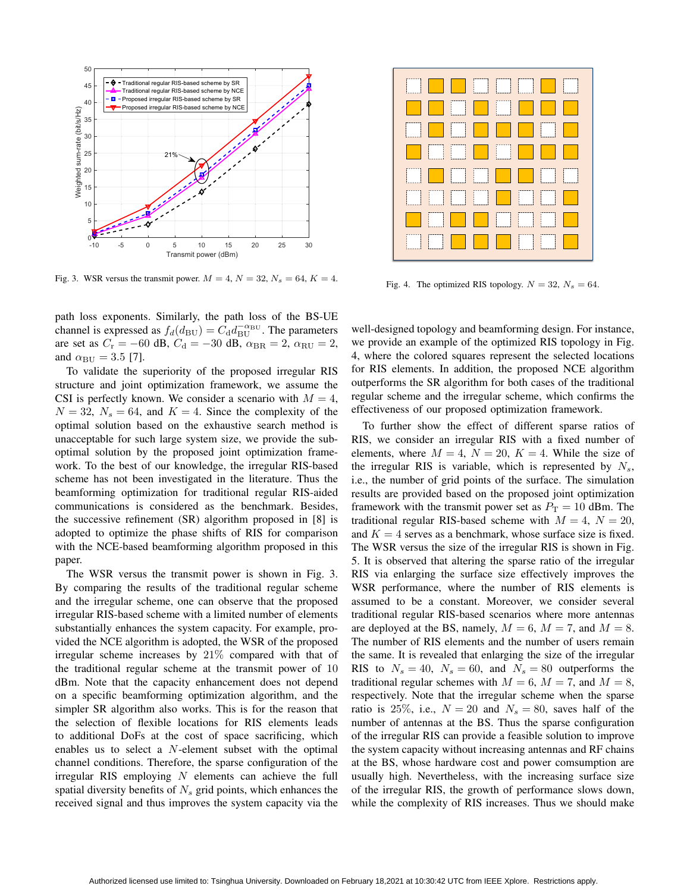

Fig. 3. WSR versus the transmit power.  $M = 4$ ,  $N = 32$ ,  $N_s = 64$ ,  $K = 4$ .

path loss exponents. Similarly, the path loss of the BS-UE channel is expressed as  $f_d(d_{\text{BU}}) = C_d d_{\text{BU}}^{-\alpha_{\text{BU}}}$ . The parameters are set as  $C_r = -60$  dB,  $C_d = -30$  dB,  $\alpha_{BR} = 2$ ,  $\alpha_{RU} = 2$ , and  $\alpha_{\text{BU}} = 3.5$  [7].

To validate the superiority of the proposed irregular RIS structure and joint optimization framework, we assume the CSI is perfectly known. We consider a scenario with  $M = 4$ ,  $N = 32$ ,  $N_s = 64$ , and  $K = 4$ . Since the complexity of the optimal solution based on the exhaustive search method is unacceptable for such large system size, we provide the suboptimal solution by the proposed joint optimization framework. To the best of our knowledge, the irregular RIS-based scheme has not been investigated in the literature. Thus the beamforming optimization for traditional regular RIS-aided communications is considered as the benchmark. Besides, the successive refinement (SR) algorithm proposed in [8] is adopted to optimize the phase shifts of RIS for comparison with the NCE-based beamforming algorithm proposed in this paper.

The WSR versus the transmit power is shown in Fig. 3. By comparing the results of the traditional regular scheme and the irregular scheme, one can observe that the proposed irregular RIS-based scheme with a limited number of elements substantially enhances the system capacity. For example, provided the NCE algorithm is adopted, the WSR of the proposed irregular scheme increases by 21% compared with that of the traditional regular scheme at the transmit power of 10 dBm. Note that the capacity enhancement does not depend on a specific beamforming optimization algorithm, and the simpler SR algorithm also works. This is for the reason that the selection of flexible locations for RIS elements leads to additional DoFs at the cost of space sacrificing, which enables us to select a *N*-element subset with the optimal channel conditions. Therefore, the sparse configuration of the irregular RIS employing *N* elements can achieve the full spatial diversity benefits of *N<sup>s</sup>* grid points, which enhances the received signal and thus improves the system capacity via the

| <u> El alta de la famí</u>                                                                                              |  |  |  |
|-------------------------------------------------------------------------------------------------------------------------|--|--|--|
| <u> Literatur de la propincia de la propincia de la propincia de la propincia de la propincia de la propincia de</u>    |  |  |  |
| <u> Literatur de la populație de la populație de la populație de la populației de la populației de la populației </u>   |  |  |  |
| <u> Espainia de la propiedad de la propiedad de la propiedad de la propiedad de la propiedad de la propiedad de l</u>   |  |  |  |
| <u> De la Barca de la Barca de la Barca de la Barca de la Barca de la Barca de la Barca de la Barca de la Barca d</u>   |  |  |  |
| <u> De la provincia de la provincia de la provincia de la provincia de la provincia de la provincia de la provincia</u> |  |  |  |
| <u>the state of the state of the state of the state of the state of the state of the state of the state of the sta</u>  |  |  |  |
| <b>THE REPORT OF PROPERTY</b>                                                                                           |  |  |  |

Fig. 4. The optimized RIS topology.  $N = 32$ ,  $N_s = 64$ .

well-designed topology and beamforming design. For instance, we provide an example of the optimized RIS topology in Fig. 4, where the colored squares represent the selected locations for RIS elements. In addition, the proposed NCE algorithm outperforms the SR algorithm for both cases of the traditional regular scheme and the irregular scheme, which confirms the effectiveness of our proposed optimization framework.

To further show the effect of different sparse ratios of RIS, we consider an irregular RIS with a fixed number of elements, where  $M = 4$ ,  $N = 20$ ,  $K = 4$ . While the size of the irregular RIS is variable, which is represented by *Ns*, i.e., the number of grid points of the surface. The simulation results are provided based on the proposed joint optimization framework with the transmit power set as  $P_T = 10$  dBm. The traditional regular RIS-based scheme with  $M = 4$ ,  $N = 20$ , and  $K = 4$  serves as a benchmark, whose surface size is fixed. The WSR versus the size of the irregular RIS is shown in Fig. 5. It is observed that altering the sparse ratio of the irregular RIS via enlarging the surface size effectively improves the WSR performance, where the number of RIS elements is assumed to be a constant. Moreover, we consider several traditional regular RIS-based scenarios where more antennas are deployed at the BS, namely,  $M = 6$ ,  $M = 7$ , and  $M = 8$ . The number of RIS elements and the number of users remain the same. It is revealed that enlarging the size of the irregular RIS to  $N_s = 40$ ,  $N_s = 60$ , and  $N_s = 80$  outperforms the traditional regular schemes with  $M = 6$ ,  $M = 7$ , and  $M = 8$ , respectively. Note that the irregular scheme when the sparse ratio is 25%, i.e.,  $N = 20$  and  $N_s = 80$ , saves half of the number of antennas at the BS. Thus the sparse configuration of the irregular RIS can provide a feasible solution to improve the system capacity without increasing antennas and RF chains at the BS, whose hardware cost and power comsumption are usually high. Nevertheless, with the increasing surface size of the irregular RIS, the growth of performance slows down, while the complexity of RIS increases. Thus we should make